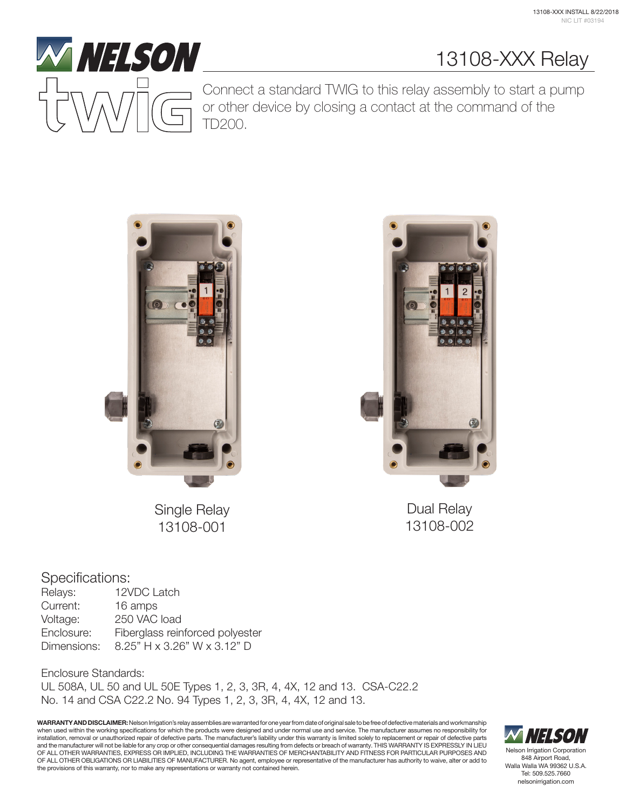13108-XXX Relay



Connect a standard TWIG to this relay assembly to start a pump or other device by closing a contact at the command of the TD200.





Dual Relay 13108-002

Single Relay 13108-001

#### Specifications:

| 12VDC Latch                     |  |
|---------------------------------|--|
| 16 amps                         |  |
| 250 VAC load                    |  |
| Fiberglass reinforced polyester |  |
| 8.25" H x 3.26" W x 3.12" D     |  |
|                                 |  |

Enclosure Standards: UL 508A, UL 50 and UL 50E Types 1, 2, 3, 3R, 4, 4X, 12 and 13. CSA-C22.2 No. 14 and CSA C22.2 No. 94 Types 1, 2, 3, 3R, 4, 4X, 12 and 13.

WARRANTY AND DISCLAIMER: Nelson Irrigation's relay assemblies are warranted for one year from date of original sale to be free of defective materials and workmanship when used within the working specifications for which the products were designed and under normal use and service. The manufacturer assumes no responsibility for installation, removal or unauthorized repair of defective parts. The manufacturer's liability under this warranty is limited solely to replacement or repair of defective parts and the manufacturer will not be liable for any crop or other consequential damages resulting from defects or breach of warranty. THIS WARRANTY IS EXPRESSLY IN LIEU<br>OF ALL OTHER WARRANTIES, EXPRESS OR IMPLIED, INCLUDING TH OF ALL OTHER OBLIGATIONS OR LIABILITIES OF MANUFACTURER. No agent, employee or representative of the manufacturer has authority to waive, alter or add to the provisions of this warranty, nor to make any representations or warranty not contained herein.



Nelson Irrigation Corporation 848 Airport Road, Walla Walla WA 99362 U.S.A. Tel: 509.525.7660 nelsonirrigation.com